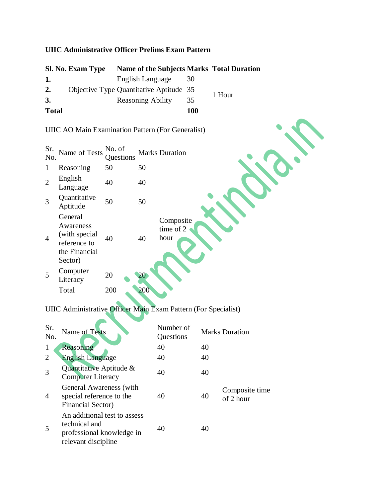# **UIIC Administrative Officer Prelims Exam Pattern**

|              | Sl. No. Exam Type | <b>Name of the Subjects Marks Total Duration</b> |     |        |
|--------------|-------------------|--------------------------------------------------|-----|--------|
| 1.           |                   | English Language                                 | -30 |        |
| 2.           |                   | Objective Type Quantitative Aptitude 35          |     | 1 Hour |
| 3.           |                   | <b>Reasoning Ability</b>                         | 35  |        |
| <b>Total</b> |                   |                                                  | 100 |        |

UIIC AO Main Examination Pattern (For Generalist)

| Sr.<br>No.     | Name of Tests                                                                     | No. of<br>Questions |     | <b>Marks Duration</b>          |
|----------------|-----------------------------------------------------------------------------------|---------------------|-----|--------------------------------|
| 1              | Reasoning                                                                         | 50                  | 50  |                                |
| $\overline{2}$ | English<br>Language                                                               | 40                  | 40  |                                |
| 3              | Quantitative<br>Aptitude                                                          | 50                  | 50  |                                |
| $\overline{4}$ | General<br>Awareness<br>(with special<br>reference to<br>the Financial<br>Sector) | 40                  | 40  | Composite<br>time of 2<br>hour |
| 5              | Computer<br>Literacy                                                              | 20                  | 20  |                                |
|                | Total                                                                             | 200                 | 200 |                                |

UIIC Administrative Officer Main Exam Pattern (For Specialist)

| Sr.<br>No. | Name of Tests                                                                                     | Number of<br>Questions |    | <b>Marks Duration</b>       |
|------------|---------------------------------------------------------------------------------------------------|------------------------|----|-----------------------------|
| 1          | Reasoning                                                                                         | 40                     | 40 |                             |
| 2          | <b>English Language</b>                                                                           | 40                     | 40 |                             |
| 3          | Quantitative Aptitude &<br><b>Computer Literacy</b>                                               | 40                     | 40 |                             |
| 4          | General Awareness (with<br>special reference to the<br>Financial Sector)                          | 40                     | 40 | Composite time<br>of 2 hour |
|            | An additional test to assess<br>technical and<br>professional knowledge in<br>relevant discipline | 40                     | 40 |                             |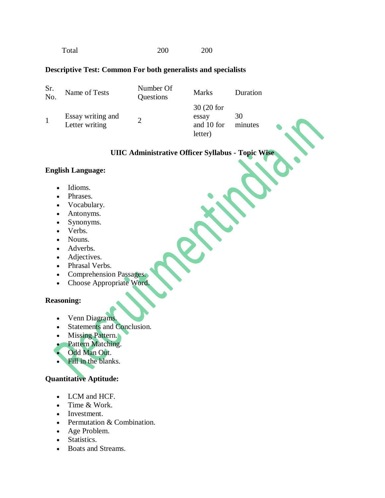Total 200 200

#### **Descriptive Test: Common For both generalists and specialists**

| Sr.<br>No. | Name of Tests                       | Number Of<br>Questions | <b>Marks</b>                                 | Duration      |  |
|------------|-------------------------------------|------------------------|----------------------------------------------|---------------|--|
|            | Essay writing and<br>Letter writing |                        | 30 (20 for<br>essay<br>and 10 for<br>letter) | 30<br>minutes |  |

### **UIIC Administrative Officer Syllabus - Topic Wise**

#### **English Language:**

- Idioms.
- Phrases.
- Vocabulary.
- Antonyms.
- Synonyms.
- Verbs.
- Nouns.
- Adverbs.
- Adjectives.
- Phrasal Verbs.
- Comprehension Passages.
- Choose Appropriate Word.

### **Reasoning:**

- Venn Diagrams.
- Statements and Conclusion.
- Missing Pattern.
- Pattern Matching.
- Odd Man Out.
- Fill in the blanks.

## **Quantitative Aptitude:**

- LCM and HCF.
- Time & Work.
- Investment.
- Permutation & Combination.
- Age Problem.
- Statistics.
- Boats and Streams.